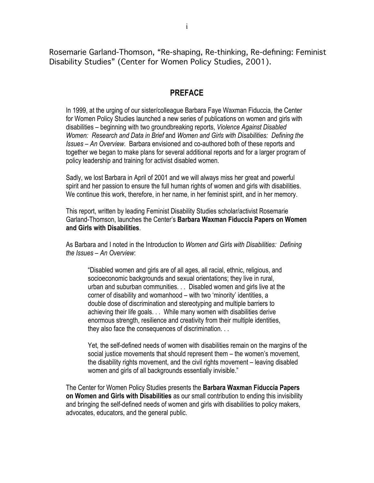Rosemarie Garland-Thomson, "Re-shaping, Re-thinking, Re-defining: Feminist Disability Studies" (Center for Women Policy Studies, 2001).

# **PREFACE**

In 1999, at the urging of our sister/colleague Barbara Faye Waxman Fiduccia, the Center for Women Policy Studies launched a new series of publications on women and girls with disabilities – beginning with two groundbreaking reports, *Violence Against Disabled Women: Research and Data in Brief* and *Women and Girls with Disabilities: Defining the Issues – An Overview.* Barbara envisioned and co-authored both of these reports and together we began to make plans for several additional reports and for a larger program of policy leadership and training for activist disabled women.

Sadly, we lost Barbara in April of 2001 and we will always miss her great and powerful spirit and her passion to ensure the full human rights of women and girls with disabilities. We continue this work, therefore, in her name, in her feminist spirit, and in her memory.

This report, written by leading Feminist Disability Studies scholar/activist Rosemarie Garland-Thomson, launches the Center's **Barbara Waxman Fiduccia Papers on Women and Girls with Disabilities**.

As Barbara and I noted in the Introduction to *Women and Girls with Disabilities: Defining the Issues – An Overview*:

"Disabled women and girls are of all ages, all racial, ethnic, religious, and socioeconomic backgrounds and sexual orientations; they live in rural, urban and suburban communities. . . Disabled women and girls live at the corner of disability and womanhood – with two 'minority' identities, a double dose of discrimination and stereotyping and multiple barriers to achieving their life goals. . . While many women with disabilities derive enormous strength, resilience and creativity from their multiple identities, they also face the consequences of discrimination. . .

Yet, the self-defined needs of women with disabilities remain on the margins of the social justice movements that should represent them – the women's movement, the disability rights movement, and the civil rights movement – leaving disabled women and girls of all backgrounds essentially invisible."

The Center for Women Policy Studies presents the **Barbara Waxman Fiduccia Papers on Women and Girls with Disabilities** as our small contribution to ending this invisibility and bringing the self-defined needs of women and girls with disabilities to policy makers, advocates, educators, and the general public.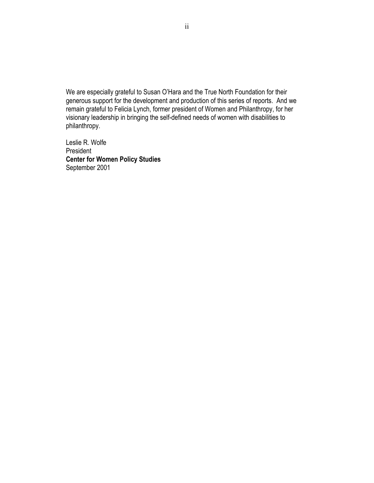We are especially grateful to Susan O'Hara and the True North Foundation for their generous support for the development and production of this series of reports. And we remain grateful to Felicia Lynch, former president of Women and Philanthropy, for her visionary leadership in bringing the self-defined needs of women with disabilities to philanthropy.

Leslie R. Wolfe President **Center for Women Policy Studies**  September 2001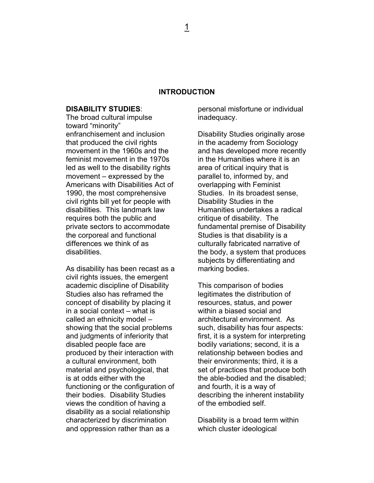### **INTRODUCTION**

#### **DISABILITY STUDIES**:

The broad cultural impulse toward "minority" enfranchisement and inclusion that produced the civil rights movement in the 1960s and the feminist movement in the 1970s led as well to the disability rights movement – expressed by the Americans with Disabilities Act of 1990, the most comprehensive civil rights bill yet for people with disabilities. This landmark law requires both the public and private sectors to accommodate the corporeal and functional differences we think of as disabilities.

As disability has been recast as a civil rights issues, the emergent academic discipline of Disability Studies also has reframed the concept of disability by placing it in a social context – what is called an ethnicity model – showing that the social problems and judgments of inferiority that disabled people face are produced by their interaction with a cultural environment, both material and psychological, that is at odds either with the functioning or the configuration of their bodies. Disability Studies views the condition of having a disability as a social relationship characterized by discrimination and oppression rather than as a

personal misfortune or individual inadequacy.

Disability Studies originally arose in the academy from Sociology and has developed more recently in the Humanities where it is an area of critical inquiry that is parallel to, informed by, and overlapping with Feminist Studies. In its broadest sense, Disability Studies in the Humanities undertakes a radical critique of disability. The fundamental premise of Disability Studies is that disability is a culturally fabricated narrative of the body, a system that produces subjects by differentiating and marking bodies.

This comparison of bodies legitimates the distribution of resources, status, and power within a biased social and architectural environment. As such, disability has four aspects: first, it is a system for interpreting bodily variations; second, it is a relationship between bodies and their environments; third, it is a set of practices that produce both the able-bodied and the disabled; and fourth, it is a way of describing the inherent instability of the embodied self.

Disability is a broad term within which cluster ideological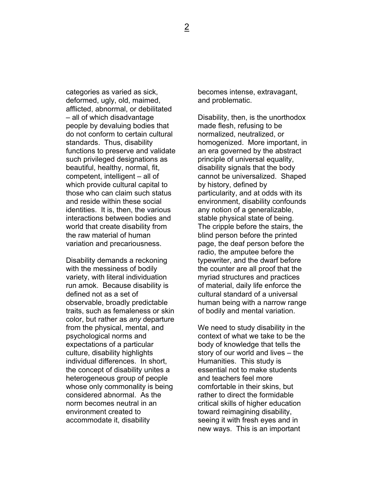categories as varied as sick, deformed, ugly, old, maimed, afflicted, abnormal, or debilitated – all of which disadvantage people by devaluing bodies that do not conform to certain cultural standards. Thus, disability functions to preserve and validate such privileged designations as beautiful, healthy, normal, fit, competent, intelligent – all of which provide cultural capital to those who can claim such status and reside within these social identities. It is, then, the various interactions between bodies and world that create disability from the raw material of human variation and precariousness.

Disability demands a reckoning with the messiness of bodily variety, with literal individuation run amok. Because disability is defined not as a set of observable, broadly predictable traits, such as femaleness or skin color, but rather as *any* departure from the physical, mental, and psychological norms and expectations of a particular culture, disability highlights individual differences. In short, the concept of disability unites a heterogeneous group of people whose only commonality is being considered abnormal. As the norm becomes neutral in an environment created to accommodate it, disability

becomes intense, extravagant, and problematic.

Disability, then, is the unorthodox made flesh, refusing to be normalized, neutralized, or homogenized. More important, in an era governed by the abstract principle of universal equality, disability signals that the body cannot be universalized. Shaped by history, defined by particularity, and at odds with its environment, disability confounds any notion of a generalizable, stable physical state of being. The cripple before the stairs, the blind person before the printed page, the deaf person before the radio, the amputee before the typewriter, and the dwarf before the counter are all proof that the myriad structures and practices of material, daily life enforce the cultural standard of a universal human being with a narrow range of bodily and mental variation.

We need to study disability in the context of what we take to be the body of knowledge that tells the story of our world and lives – the Humanities. This study is essential not to make students and teachers feel more comfortable in their skins, but rather to direct the formidable critical skills of higher education toward reimagining disability, seeing it with fresh eyes and in new ways. This is an important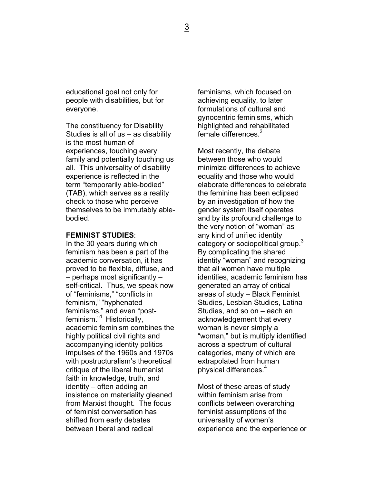educational goal not only for people with disabilities, but for everyone.

The constituency for Disability Studies is all of us – as disability is the most human of experiences, touching every family and potentially touching us all. This universality of disability experience is reflected in the term "temporarily able-bodied" (TAB), which serves as a reality check to those who perceive themselves to be immutably ablebodied.

## **FEMINIST STUDIES**:

In the 30 years during which feminism has been a part of the academic conversation, it has proved to be flexible, diffuse, and – perhaps most significantly – self-critical. Thus, we speak now of "feminisms," "conflicts in feminism," "hyphenated feminisms," and even "postfeminism."<sup>1</sup> Historically, academic feminism combines the highly political civil rights and accompanying identity politics impulses of the 1960s and 1970s with postructuralism's theoretical critique of the liberal humanist faith in knowledge, truth, and identity – often adding an insistence on materiality gleaned from Marxist thought. The focus of feminist conversation has shifted from early debates between liberal and radical

feminisms, which focused on achieving equality, to later formulations of cultural and gynocentric feminisms, which highlighted and rehabilitated female differences.<sup>[2](#page-25-1)</sup>

Most recently, the debate between those who would minimize differences to achieve equality and those who would elaborate differences to celebrate the feminine has been eclipsed by an investigation of how the gender system itself operates and by its profound challenge to the very notion of "woman" as any kind of unified identity category or sociopolitical group.<sup>[3](#page-25-2)</sup> By complicating the shared identity "woman" and recognizing that all women have multiple identities, academic feminism has generated an array of critical areas of study – Black Feminist Studies, Lesbian Studies, Latina Studies, and so on – each an acknowledgement that every woman is never simply a "woman," but is multiply identified across a spectrum of cultural categories, many of which are extrapolated from human physicaldifferences<sup>4</sup>

Most of these areas of study within feminism arise from conflicts between overarching feminist assumptions of the universality of women's experience and the experience or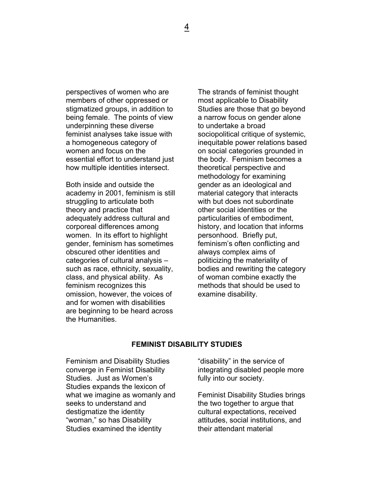perspectives of women who are members of other oppressed or stigmatized groups, in addition to being female. The points of view underpinning these diverse feminist analyses take issue with a homogeneous category of women and focus on the essential effort to understand just how multiple identities intersect.

Both inside and outside the academy in 2001, feminism is still struggling to articulate both theory and practice that adequately address cultural and corporeal differences among women. In its effort to highlight gender, feminism has sometimes obscured other identities and categories of cultural analysis – such as race, ethnicity, sexuality, class, and physical ability. As feminism recognizes this omission, however, the voices of and for women with disabilities are beginning to be heard across the Humanities.

The strands of feminist thought most applicable to Disability Studies are those that go beyond a narrow focus on gender alone to undertake a broad sociopolitical critique of systemic, inequitable power relations based on social categories grounded in the body. Feminism becomes a theoretical perspective and methodology for examining gender as an ideological and material category that interacts with but does not subordinate other social identities or the particularities of embodiment, history, and location that informs personhood. Briefly put, feminism's often conflicting and always complex aims of politicizing the materiality of bodies and rewriting the category of woman combine exactly the methods that should be used to examine disability.

### **FEMINIST DISABILITY STUDIES**

Feminism and Disability Studies converge in Feminist Disability Studies. Just as Women's Studies expands the lexicon of what we imagine as womanly and seeks to understand and destigmatize the identity "woman," so has Disability Studies examined the identity

"disability" in the service of integrating disabled people more fully into our society.

Feminist Disability Studies brings the two together to argue that cultural expectations, received attitudes, social institutions, and their attendant material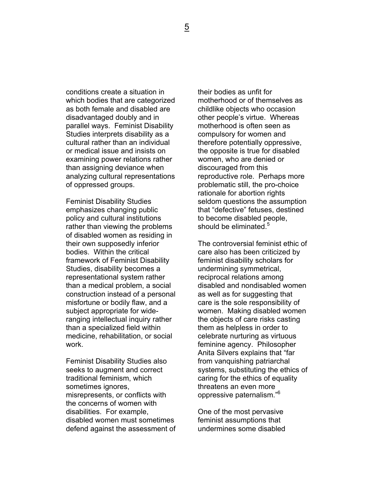conditions create a situation in which bodies that are categorized as both female and disabled are disadvantaged doubly and in parallel ways. Feminist Disability Studies interprets disability as a cultural rather than an individual or medical issue and insists on examining power relations rather than assigning deviance when analyzing cultural representations of oppressed groups.

Feminist Disability Studies emphasizes changing public policy and cultural institutions rather than viewing the problems of disabled women as residing in their own supposedly inferior bodies. Within the critical framework of Feminist Disability Studies, disability becomes a representational system rather than a medical problem, a social construction instead of a personal misfortune or bodily flaw, and a subject appropriate for wideranging intellectual inquiry rather than a specialized field within medicine, rehabilitation, or social work.

Feminist Disability Studies also seeks to augment and correct traditional feminism, which sometimes ignores, misrepresents, or conflicts with the concerns of women with disabilities. For example, disabled women must sometimes defend against the assessment of their bodies as unfit for motherhood or of themselves as childlike objects who occasion other people's virtue. Whereas motherhood is often seen as compulsory for women and therefore potentially oppressive, the opposite is true for disabled women, who are denied or discouraged from this reproductive role. Perhaps more problematic still, the pro-choice rationale for abortion rights seldom questions the assumption that "defective" fetuses, destined to become disabled people, should be eliminated. $5$ 

The controversial feminist ethic of care also has been criticized by feminist disability scholars for undermining symmetrical, reciprocal relations among disabled and nondisabled women as well as for suggesting that care is the sole responsibility of women. Making disabled women the objects of care risks casting them as helpless in order to celebrate nurturing as virtuous feminine agency. Philosopher Anita Silvers explains that "far from vanquishing patriarchal systems, substituting the ethics of caring for the ethics of equality threatens an even more oppressive paternalism."<sup>6</sup>

One of the most pervasive feminist assumptions that undermines some disabled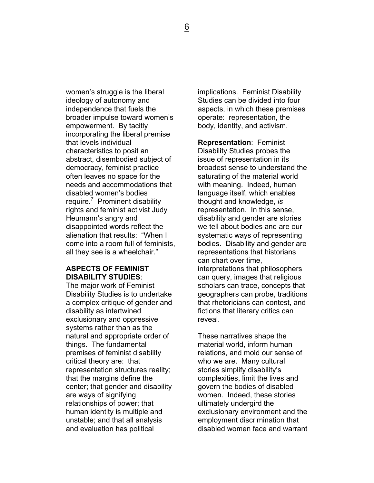women's struggle is the liberal ideology of autonomy and independence that fuels the broader impulse toward women's empowerment. By tacitly incorporating the liberal premise that levels individual characteristics to posit an abstract, disembodied subject of democracy, feminist practice often leaves no space for the needs and accommodations that disabled women's bodies require.<sup>[7](#page-25-4)</sup> Prominent disability rights and feminist activist Judy Heumann's angry and disappointed words reflect the alienation that results: "When I come into a room full of feminists, all they see is a wheelchair."

# **ASPECTS OF FEMINIST DISABILITY STUDIES**:

The major work of Feminist Disability Studies is to undertake a complex critique of gender and disability as intertwined exclusionary and oppressive systems rather than as the natural and appropriate order of things. The fundamental premises of feminist disability critical theory are: that representation structures reality; that the margins define the center; that gender and disability are ways of signifying relationships of power; that human identity is multiple and unstable; and that all analysis and evaluation has political

implications. Feminist Disability Studies can be divided into four aspects, in which these premises operate: representation, the body, identity, and activism.

**Representation**: Feminist Disability Studies probes the issue of representation in its broadest sense to understand the saturating of the material world with meaning. Indeed, human language itself, which enables thought and knowledge, *is* representation. In this sense, disability and gender are stories we tell about bodies and are our systematic ways of representing bodies. Disability and gender are representations that historians can chart over time, interpretations that philosophers can query, images that religious scholars can trace, concepts that geographers can probe, traditions that rhetoricians can contest, and fictions that literary critics can reveal.

These narratives shape the material world, inform human relations, and mold our sense of who we are. Many cultural stories simplify disability's complexities, limit the lives and govern the bodies of disabled women. Indeed, these stories ultimately undergird the exclusionary environment and the employment discrimination that disabled women face and warrant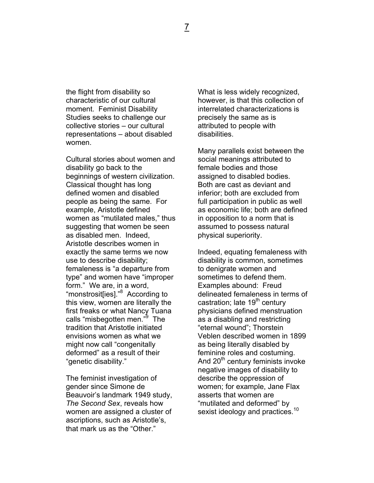the flight from disability so characteristic of our cultural moment. Feminist Disability Studies seeks to challenge our collective stories – our cultural representations – about disabled women.

Cultural stories about women and disability go back to the beginnings of western civilization. Classical thought has long defined women and disabled people as being the same. For example, Aristotle defined women as "mutilated males," thus suggesting that women be seen as disabled men. Indeed, Aristotle describes women in exactly the same terms we now use to describe disability; femaleness is "a departure from type" and women have "improper form." We are, in a word, "monstrosit[ies]."<sup>[8](#page-25-5)</sup> According to this view, women are literally the first freaks or what Nancy Tuana calls "misbegotten men."<sup>[9](#page-25-6)</sup> The tradition that Aristotle initiated envisions women as what we might now call "congenitally deformed" as a result of their "genetic disability."

The feminist investigation of gender since Simone de Beauvoir's landmark 1949 study, *The Second Sex*, reveals how women are assigned a cluster of ascriptions, such as Aristotle's, that mark us as the "Other."

What is less widely recognized, however, is that this collection of interrelated characterizations is precisely the same as is attributed to people with disabilities.

Many parallels exist between the social meanings attributed to female bodies and those assigned to disabled bodies. Both are cast as deviant and inferior; both are excluded from full participation in public as well as economic life; both are defined in opposition to a norm that is assumed to possess natural physical superiority.

Indeed, equating femaleness with disability is common, sometimes to denigrate women and sometimes to defend them. Examples abound: Freud delineated femaleness in terms of castration; late 19<sup>th</sup> century physicians defined menstruation as a disabling and restricting "eternal wound"; Thorstein Veblen described women in 1899 as being literally disabled by feminine roles and costuming. And 20<sup>th</sup> century feminists invoke negative images of disability to describe the oppression of women; for example, Jane Flax asserts that women are "mutilated and deformed" by sexist ideology and practices.<sup>[10](#page-25-7)</sup>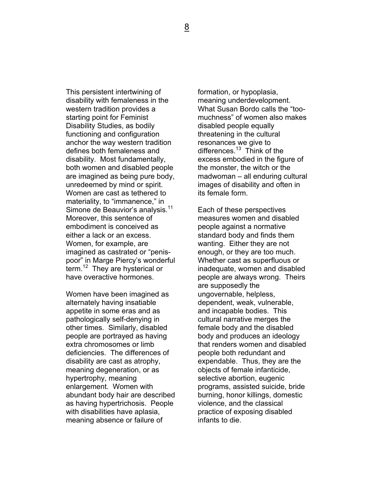This persistent intertwining of disability with femaleness in the western tradition provides a starting point for Feminist Disability Studies, as bodily functioning and configuration anchor the way western tradition defines both femaleness and disability. Most fundamentally, both women and disabled people are imagined as being pure body, unredeemed by mind or spirit. Women are cast as tethered to materiality, to "immanence," in Simone de Beauvior's analysis.<sup>11</sup> Moreover, this sentence of embodiment is conceived as either a lack or an excess. Women, for example, are imagined as castrated or "penispoor" in Marge Piercy's wonderful term.<sup>12</sup> They are hysterical or have overactive hormones.

Women have been imagined as alternately having insatiable appetite in some eras and as pathologically self-denying in other times. Similarly, disabled people are portrayed as having extra chromosomes or limb deficiencies. The differences of disability are cast as atrophy, meaning degeneration, or as hypertrophy, meaning enlargement. Women with abundant body hair are described as having hypertrichosis. People with disabilities have aplasia, meaning absence or failure of

formation, or hypoplasia, meaning underdevelopment. What Susan Bordo calls the "toomuchness" of women also makes disabled people equally threatening in the cultural resonances we give to differences. $13$  Think of the excess embodied in the figure of the monster, the witch or the madwoman – all enduring cultural images of disability and often in its female form.

Each of these perspectives measures women and disabled people against a normative standard body and finds them wanting. Either they are not enough, or they are too much. Whether cast as superfluous or inadequate, women and disabled people are always wrong. Theirs are supposedly the ungovernable, helpless, dependent, weak, vulnerable, and incapable bodies. This cultural narrative merges the female body and the disabled body and produces an ideology that renders women and disabled people both redundant and expendable. Thus, they are the objects of female infanticide, selective abortion, eugenic programs, assisted suicide, bride burning, honor killings, domestic violence, and the classical practice of exposing disabled infants to die.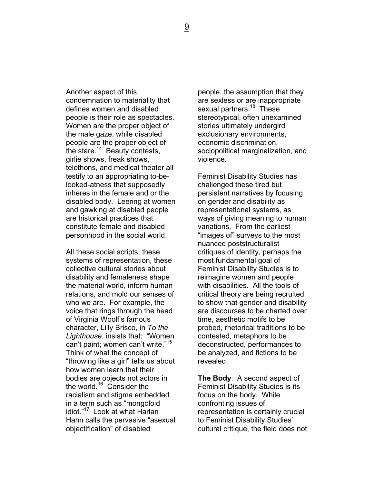Another aspect of this condemnation to materiality that defines women and disabled people is their role as spectacles. Women are the proper object of the male gaze, while disabled people are the proper object of the stare. $14$  Beauty contests, girlie shows, freak shows, telethons, and medical theater all testify to an appropriating to-belooked-atness that supposedly inheres in the female and or the disabled body. Leering at women and gawking at disabled people are historical practices that constitute female and disabled personhood in the social world.

All these social scripts, these systems of representation, these collective cultural stories about disability and femaleness shape the material world, inform human relations, and mold our senses of who we are. For example, the voice that rings through the head of Virginia Woolf's famous character, Lilly Brisco, in *To the Lighthouse*, insists that: "Women can't paint; women can't write."[15](#page-25-11)  Think of what the concept of "throwing like a girl" tells us about how women learn that their bodies are objects not actors in the world. $16$  Consider the racialism and stigma embedded in a term such as "mongoloid idiot."[17](#page-25-13) Look at what Harlan Hahn calls the pervasive "asexual objectification" of disabled

people, the assumption that they are sexless or are inappropriate sexual partners.<sup>18</sup> These stereotypical, often unexamined stories ultimately undergird exclusionary environments, economic discrimination, sociopolitical marginalization, and violence.

Feminist Disability Studies has challenged these tired but persistent narratives by focusing on gender and disability as representational systems, as ways of giving meaning to human variations. From the earliest "images of" surveys to the most nuanced poststructuralist critiques of identity, perhaps the most fundamental goal of Feminist Disability Studies is to reimagine women and people with disabilities. All the tools of critical theory are being recruited to show that gender and disability are discourses to be charted over time, aesthetic motifs to be probed, rhetorical traditions to be contested, metaphors to be deconstructed, performances to be analyzed, and fictions to be revealed.

**The Body**: A second aspect of Feminist Disability Studies is its focus on the body. While confronting issues of representation is certainly crucial to Feminist Disability Studies' cultural critique, the field does not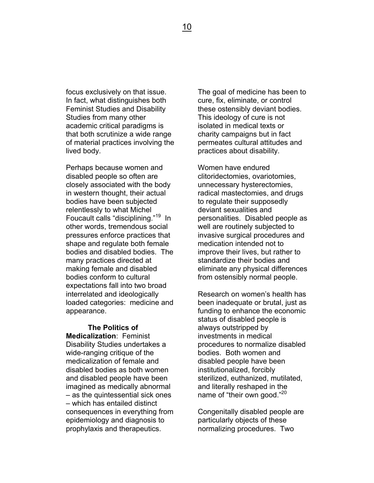focus exclusively on that issue. In fact, what distinguishes both Feminist Studies and Disability Studies from many other academic critical paradigms is that both scrutinize a wide range of material practices involving the lived body.

Perhaps because women and disabled people so often are closely associated with the body in western thought, their actual bodies have been subjected relentlessly to what Michel Foucault calls "disciplining."[19](#page-25-15) In other words, tremendous social pressures enforce practices that shape and regulate both female bodies and disabled bodies. The many practices directed at making female and disabled bodies conform to cultural expectations fall into two broad interrelated and ideologically loaded categories: medicine and appearance.

**The Politics of Medicalization**: Feminist Disability Studies undertakes a wide-ranging critique of the medicalization of female and disabled bodies as both women and disabled people have been imagined as medically abnormal – as the quintessential sick ones – which has entailed distinct consequences in everything from epidemiology and diagnosis to prophylaxis and therapeutics.

The goal of medicine has been to cure, fix, eliminate, or control these ostensibly deviant bodies. This ideology of cure is not isolated in medical texts or charity campaigns but in fact permeates cultural attitudes and practices about disability.

Women have endured clitoridectomies, ovariotomies, unnecessary hysterectomies, radical mastectomies, and drugs to regulate their supposedly deviant sexualities and personalities. Disabled people as well are routinely subjected to invasive surgical procedures and medication intended not to improve their lives, but rather to standardize their bodies and eliminate any physical differences from ostensibly normal people.

Research on women's health has been inadequate or brutal, just as funding to enhance the economic status of disabled people is always outstripped by investments in medical procedures to normalize disabled bodies. Both women and disabled people have been institutionalized, forcibly sterilized, euthanized, mutilated, and literally reshaped in the name of "their own good."<sup>20</sup>

Congenitally disabled people are particularly objects of these normalizing procedures. Two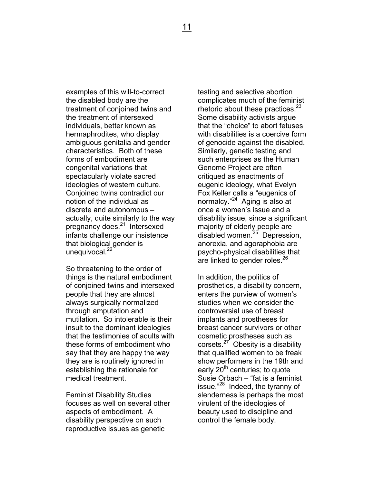examples of this will-to-correct the disabled body are the treatment of conjoined twins and the treatment of intersexed individuals, better known as hermaphrodites, who display ambiguous genitalia and gender characteristics. Both of these forms of embodiment are congenital variations that spectacularly violate sacred ideologies of western culture. Conjoined twins contradict our notion of the individual as discrete and autonomous – actually, quite similarly to the way pregnancy does.<sup>21</sup> Intersexed infants challenge our insistence that biological gender is unequivocal.<sup>22</sup>

So threatening to the order of things is the natural embodiment of conjoined twins and intersexed people that they are almost always surgically normalized through amputation and mutilation. So intolerable is their insult to the dominant ideologies that the testimonies of adults with these forms of embodiment who say that they are happy the way they are is routinely ignored in establishing the rationale for medical treatment.

Feminist Disability Studies focuses as well on several other aspects of embodiment. A disability perspective on such reproductive issues as genetic

testing and selective abortion complicates much of the feminist rhetoric about these practices.  $23$ Some disability activists argue that the "choice" to abort fetuses with disabilities is a coercive form of genocide against the disabled. Similarly, genetic testing and such enterprises as the Human Genome Project are often critiqued as enactments of eugenic ideology, what Evelyn Fox Keller calls a "eugenics of normalcy."[24](#page-25-4) Aging is also at once a women's issue and a disability issue, since a significant majority of elderly people are disabled women.<sup>25</sup> Depression, anorexia, and agoraphobia are psycho-physical disabilities that are linked to gender roles.<sup>[26](#page-25-9)</sup>

In addition, the politics of prosthetics, a disability concern, enters the purview of women's studies when we consider the controversial use of breast implants and prostheses for breast cancer survivors or other cosmetic prostheses such as corsets. $27$  Obesity is a disability that qualified women to be freak show performers in the 19th and early 20<sup>th</sup> centuries; to quote Susie Orbach – "fat is a feminist issue."<sup>28</sup> Indeed, the tyranny of slenderness is perhaps the most virulent of the ideologies of beauty used to discipline and control the female body.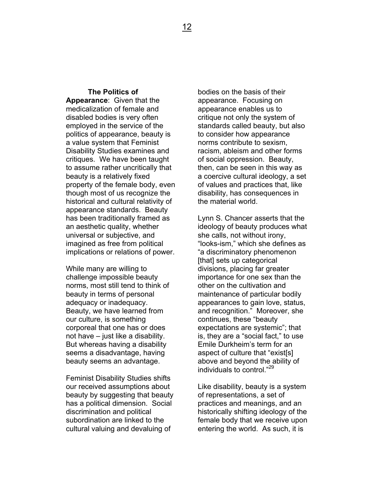#### **The Politics of**

**Appearance**: Given that the medicalization of female and disabled bodies is very often employed in the service of the politics of appearance, beauty is a value system that Feminist Disability Studies examines and critiques. We have been taught to assume rather uncritically that beauty is a relatively fixed property of the female body, even though most of us recognize the historical and cultural relativity of appearance standards. Beauty has been traditionally framed as an aesthetic quality, whether universal or subjective, and imagined as free from political implications or relations of power.

While many are willing to challenge impossible beauty norms, most still tend to think of beauty in terms of personal adequacy or inadequacy. Beauty, we have learned from our culture, is something corporeal that one has or does not have – just like a disability. But whereas having a disability seems a disadvantage, having beauty seems an advantage.

Feminist Disability Studies shifts our received assumptions about beauty by suggesting that beauty has a political dimension. Social discrimination and political subordination are linked to the cultural valuing and devaluing of

bodies on the basis of their appearance. Focusing on appearance enables us to critique not only the system of standards called beauty, but also to consider how appearance norms contribute to sexism, racism, ableism and other forms of social oppression. Beauty, then, can be seen in this way as a coercive cultural ideology, a set of values and practices that, like disability, has consequences in the material world.

Lynn S. Chancer asserts that the ideology of beauty produces what she calls, not without irony, "looks-ism," which she defines as "a discriminatory phenomenon [that] sets up categorical divisions, placing far greater importance for one sex than the other on the cultivation and maintenance of particular bodily appearances to gain love, status, and recognition." Moreover, she continues, these "beauty expectations are systemic"; that is, they are a "social fact," to use Emile Durkheim's term for an aspect of culture that "exist[s] above and beyond the ability of individuals to control."[29](#page-25-3) 

Like disability, beauty is a system of representations, a set of practices and meanings, and an historically shifting ideology of the female body that we receive upon entering the world. As such, it is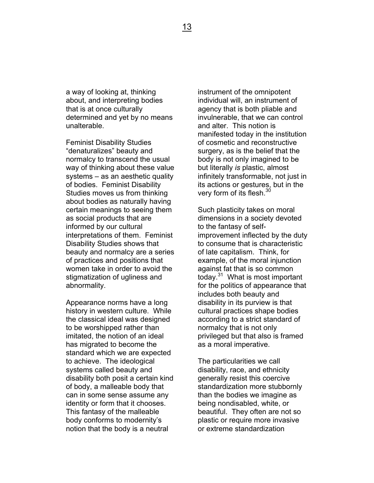a way of looking at, thinking about, and interpreting bodies that is at once culturally determined and yet by no means unalterable.

Feminist Disability Studies "denaturalizes" beauty and normalcy to transcend the usual way of thinking about these value systems – as an aesthetic quality of bodies. Feminist Disability Studies moves us from thinking about bodies as naturally having certain meanings to seeing them as social products that are informed by our cultural interpretations of them. Feminist Disability Studies shows that beauty and normalcy are a series of practices and positions that women take in order to avoid the stigmatization of ugliness and abnormality.

Appearance norms have a long history in western culture. While the classical ideal was designed to be worshipped rather than imitated, the notion of an ideal has migrated to become the standard which we are expected to achieve. The ideological systems called beauty and disability both posit a certain kind of body, a malleable body that can in some sense assume any identity or form that it chooses. This fantasy of the malleable body conforms to modernity's notion that the body is a neutral

instrument of the omnipotent individual will, an instrument of agency that is both pliable and invulnerable, that we can control and alter. This notion is manifested today in the institution of cosmetic and reconstructive surgery, as is the belief that the body is not only imagined to be but literally *is* plastic, almost infinitely transformable, not just in its actions or gestures, but in the very form of its flesh.<sup>30</sup>

Such plasticity takes on moral dimensions in a society devoted to the fantasy of selfimprovement inflected by the duty to consume that is characteristic of late capitalism. Think, for example, of the moral injunction against fat that is so common today.<sup>31</sup> What is most important for the politics of appearance that includes both beauty and disability in its purview is that cultural practices shape bodies according to a strict standard of normalcy that is not only privileged but that also is framed as a moral imperative.

The particularities we call disability, race, and ethnicity generally resist this coercive standardization more stubbornly than the bodies we imagine as being nondisabled, white, or beautiful. They often are not so plastic or require more invasive or extreme standardization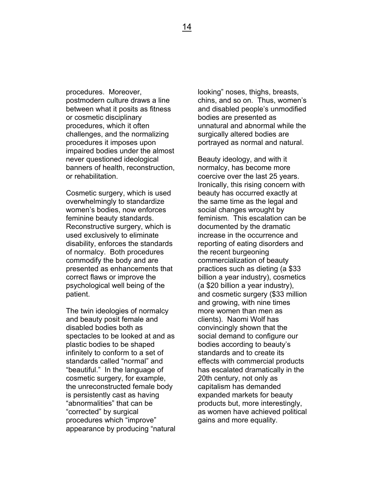procedures. Moreover, postmodern culture draws a line between what it posits as fitness or cosmetic disciplinary procedures, which it often challenges, and the normalizing procedures it imposes upon impaired bodies under the almost never questioned ideological banners of health, reconstruction, or rehabilitation.

Cosmetic surgery, which is used overwhelmingly to standardize women's bodies, now enforces feminine beauty standards. Reconstructive surgery, which is used exclusively to eliminate disability, enforces the standards of normalcy. Both procedures commodify the body and are presented as enhancements that correct flaws or improve the psychological well being of the patient.

The twin ideologies of normalcy and beauty posit female and disabled bodies both as spectacles to be looked at and as plastic bodies to be shaped infinitely to conform to a set of standards called "normal" and "beautiful." In the language of cosmetic surgery, for example, the unreconstructed female body is persistently cast as having "abnormalities" that can be "corrected" by surgical procedures which "improve" appearance by producing "natural looking" noses, thighs, breasts, chins, and so on. Thus, women's and disabled people's unmodified bodies are presented as unnatural and abnormal while the surgically altered bodies are portrayed as normal and natural.

Beauty ideology, and with it normalcy, has become more coercive over the last 25 years. Ironically, this rising concern with beauty has occurred exactly at the same time as the legal and social changes wrought by feminism. This escalation can be documented by the dramatic increase in the occurrence and reporting of eating disorders and the recent burgeoning commercialization of beauty practices such as dieting (a \$33 billion a year industry), cosmetics (a \$20 billion a year industry), and cosmetic surgery (\$33 million and growing, with nine times more women than men as clients). Naomi Wolf has convincingly shown that the social demand to configure our bodies according to beauty's standards and to create its effects with commercial products has escalated dramatically in the 20th century, not only as capitalism has demanded expanded markets for beauty products but, more interestingly, as women have achieved political gains and more equality.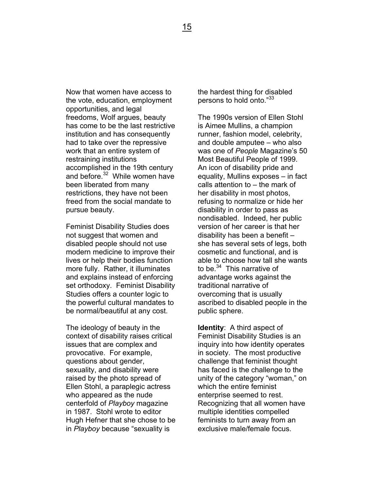Now that women have access to the vote, education, employment opportunities, and legal freedoms, Wolf argues, beauty has come to be the last restrictive institution and has consequently had to take over the repressive work that an entire system of restraining institutions accomplished in the 19th century and before.<sup>32</sup> While women have been liberated from many restrictions, they have not been freed from the social mandate to pursue beauty.

Feminist Disability Studies does not suggest that women and disabled people should not use modern medicine to improve their lives or help their bodies function more fully. Rather, it illuminates and explains instead of enforcing set orthodoxy. Feminist Disability Studies offers a counter logic to the powerful cultural mandates to be normal/beautiful at any cost.

The ideology of beauty in the context of disability raises critical issues that are complex and provocative. For example, questions about gender, sexuality, and disability were raised by the photo spread of Ellen Stohl, a paraplegic actress who appeared as the nude centerfold of *Playboy* magazine in 1987. Stohl wrote to editor Hugh Hefner that she chose to be in *Playboy* because "sexuality is

the hardest thing for disabled persons to hold onto."33

The 1990s version of Ellen Stohl is Aimee Mullins, a champion runner, fashion model, celebrity, and double amputee – who also was one of *People* Magazine's 50 Most Beautiful People of 1999. An icon of disability pride and equality, Mullins exposes – in fact calls attention to – the mark of her disability in most photos, refusing to normalize or hide her disability in order to pass as nondisabled. Indeed, her public version of her career is that her disability has been a benefit – she has several sets of legs, both cosmetic and functional, and is able to choose how tall she wants to be.<sup>34</sup> This narrative of advantage works against the traditional narrative of overcoming that is usually ascribed to disabled people in the public sphere.

**Identity**: A third aspect of Feminist Disability Studies is an inquiry into how identity operates in society. The most productive challenge that feminist thought has faced is the challenge to the unity of the category "woman," on which the entire feminist enterprise seemed to rest. Recognizing that all women have multiple identities compelled feminists to turn away from an exclusive male/female focus.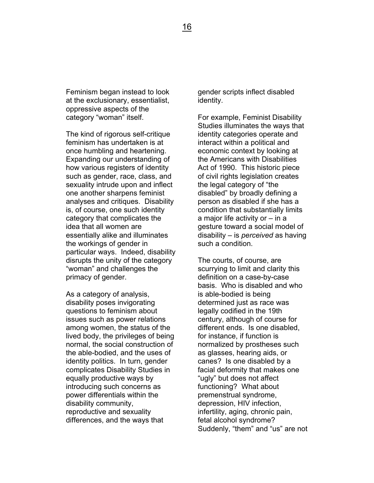Feminism began instead to look at the exclusionary, essentialist, oppressive aspects of the category "woman" itself.

The kind of rigorous self-critique feminism has undertaken is at once humbling and heartening. Expanding our understanding of how various registers of identity such as gender, race, class, and sexuality intrude upon and inflect one another sharpens feminist analyses and critiques. Disability is, of course, one such identity category that complicates the idea that all women are essentially alike and illuminates the workings of gender in particular ways. Indeed, disability disrupts the unity of the category "woman" and challenges the primacy of gender.

As a category of analysis, disability poses invigorating questions to feminism about issues such as power relations among women, the status of the lived body, the privileges of being normal, the social construction of the able-bodied, and the uses of identity politics. In turn, gender complicates Disability Studies in equally productive ways by introducing such concerns as power differentials within the disability community, reproductive and sexuality differences, and the ways that

gender scripts inflect disabled identity.

For example, Feminist Disability Studies illuminates the ways that identity categories operate and interact within a political and economic context by looking at the Americans with Disabilities Act of 1990. This historic piece of civil rights legislation creates the legal category of "the disabled" by broadly defining a person as disabled if she has a condition that substantially limits a major life activity or – in a gesture toward a social model of disability – is *perceived* as having such a condition.

The courts, of course, are scurrying to limit and clarity this definition on a case-by-case basis. Who is disabled and who is able-bodied is being determined just as race was legally codified in the 19th century, although of course for different ends. Is one disabled, for instance, if function is normalized by prostheses such as glasses, hearing aids, or canes? Is one disabled by a facial deformity that makes one "ugly" but does not affect functioning? What about premenstrual syndrome, depression, HIV infection, infertility, aging, chronic pain, fetal alcohol syndrome? Suddenly, "them" and "us" are not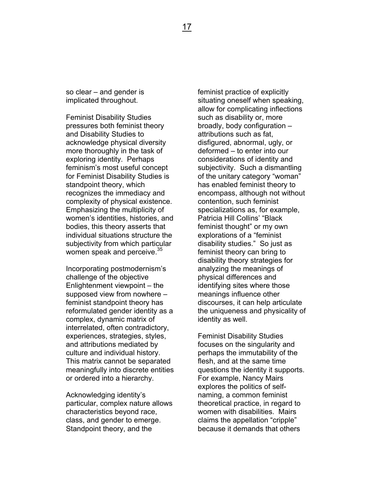so clear – and gender is implicated throughout.

Feminist Disability Studies pressures both feminist theory and Disability Studies to acknowledge physical diversity more thoroughly in the task of exploring identity. Perhaps feminism's most useful concept for Feminist Disability Studies is standpoint theory, which recognizes the immediacy and complexity of physical existence. Emphasizing the multiplicity of women's identities, histories, and bodies, this theory asserts that individual situations structure the subjectivity from which particular women speak and perceive.<sup>35</sup>

Incorporating postmodernism's challenge of the objective Enlightenment viewpoint – the supposed view from nowhere – feminist standpoint theory has reformulated gender identity as a complex, dynamic matrix of interrelated, often contradictory, experiences, strategies, styles, and attributions mediated by culture and individual history. This matrix cannot be separated meaningfully into discrete entities or ordered into a hierarchy.

Acknowledging identity's particular, complex nature allows characteristics beyond race, class, and gender to emerge. Standpoint theory, and the

feminist practice of explicitly situating oneself when speaking, allow for complicating inflections such as disability or, more broadly, body configuration – attributions such as fat, disfigured, abnormal, ugly, or deformed – to enter into our considerations of identity and subjectivity. Such a dismantling of the unitary category "woman" has enabled feminist theory to encompass, although not without contention, such feminist specializations as, for example, Patricia Hill Collins' "Black feminist thought" or my own explorations of a "feminist disability studies." So just as feminist theory can bring to disability theory strategies for analyzing the meanings of physical differences and identifying sites where those meanings influence other discourses, it can help articulate the uniqueness and physicality of identity as well.

Feminist Disability Studies focuses on the singularity and perhaps the immutability of the flesh, and at the same time questions the identity it supports. For example, Nancy Mairs explores the politics of selfnaming, a common feminist theoretical practice, in regard to women with disabilities. Mairs claims the appellation "cripple" because it demands that others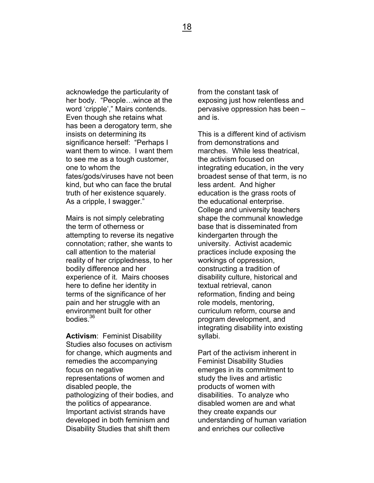acknowledge the particularity of her body. "People…wince at the word 'cripple'," Mairs contends. Even though she retains what has been a derogatory term, she insists on determining its significance herself: "Perhaps I want them to wince. I want them to see me as a tough customer, one to whom the fates/gods/viruses have not been kind, but who can face the brutal truth of her existence squarely. As a cripple, I swagger."

Mairs is not simply celebrating the term of otherness or attempting to reverse its negative connotation; rather, she wants to call attention to the material reality of her crippledness, to her bodily difference and her experience of it. Mairs chooses here to define her identity in terms of the significance of her pain and her struggle with an environment built for other bodies.<sup>[36](#page-25-24)</sup>

**Activism**: Feminist Disability Studies also focuses on activism for change, which augments and remedies the accompanying focus on negative representations of women and disabled people, the pathologizing of their bodies, and the politics of appearance. Important activist strands have developed in both feminism and Disability Studies that shift them

from the constant task of exposing just how relentless and pervasive oppression has been – and is.

This is a different kind of activism from demonstrations and marches. While less theatrical, the activism focused on integrating education, in the very broadest sense of that term, is no less ardent. And higher education is the grass roots of the educational enterprise. College and university teachers shape the communal knowledge base that is disseminated from kindergarten through the university. Activist academic practices include exposing the workings of oppression, constructing a tradition of disability culture, historical and textual retrieval, canon reformation, finding and being role models, mentoring, curriculum reform, course and program development, and integrating disability into existing syllabi.

Part of the activism inherent in Feminist Disability Studies emerges in its commitment to study the lives and artistic products of women with disabilities. To analyze who disabled women are and what they create expands our understanding of human variation and enriches our collective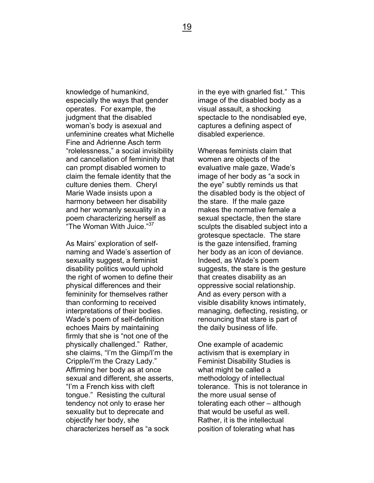knowledge of humankind, especially the ways that gender operates. For example, the judgment that the disabled woman's body is asexual and unfeminine creates what Michelle Fine and Adrienne Asch term "rolelessness," a social invisibility and cancellation of femininity that can prompt disabled women to claim the female identity that the culture denies them. Cheryl Marie Wade insists upon a harmony between her disability and her womanly sexuality in a poem characterizing herself as "The Woman With Juice."<sup>37</sup>

As Mairs' exploration of selfnaming and Wade's assertion of sexuality suggest, a feminist disability politics would uphold the right of women to define their physical differences and their femininity for themselves rather than conforming to received interpretations of their bodies. Wade's poem of self-definition echoes Mairs by maintaining firmly that she is "not one of the physically challenged." Rather, she claims, "I'm the Gimp/I'm the Cripple/I'm the Crazy Lady." Affirming her body as at once sexual and different, she asserts, "I'm a French kiss with cleft tongue." Resisting the cultural tendency not only to erase her sexuality but to deprecate and objectify her body, she characterizes herself as "a sock

in the eye with gnarled fist." This image of the disabled body as a visual assault, a shocking spectacle to the nondisabled eye, captures a defining aspect of disabled experience.

Whereas feminists claim that women are objects of the evaluative male gaze, Wade's image of her body as "a sock in the eye" subtly reminds us that the disabled body is the object of the stare. If the male gaze makes the normative female a sexual spectacle, then the stare sculpts the disabled subject into a grotesque spectacle. The stare is the gaze intensified, framing her body as an icon of deviance. Indeed, as Wade's poem suggests, the stare is the gesture that creates disability as an oppressive social relationship. And as every person with a visible disability knows intimately, managing, deflecting, resisting, or renouncing that stare is part of the daily business of life.

One example of academic activism that is exemplary in Feminist Disability Studies is what might be called a methodology of intellectual tolerance. This is not tolerance in the more usual sense of tolerating each other – although that would be useful as well. Rather, it is the intellectual position of tolerating what has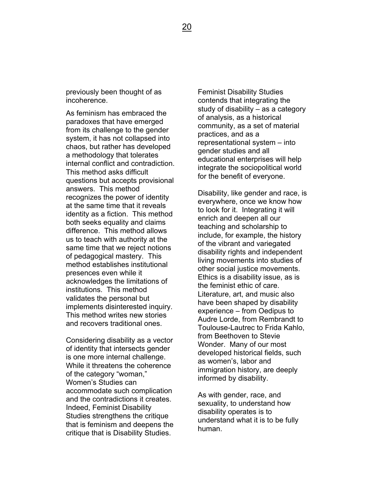previously been thought of as incoherence.

As feminism has embraced the paradoxes that have emerged from its challenge to the gender system, it has not collapsed into chaos, but rather has developed a methodology that tolerates internal conflict and contradiction. This method asks difficult questions but accepts provisional answers. This method recognizes the power of identity at the same time that it reveals identity as a fiction. This method both seeks equality and claims difference. This method allows us to teach with authority at the same time that we reject notions of pedagogical mastery. This method establishes institutional presences even while it acknowledges the limitations of institutions. This method validates the personal but implements disinterested inquiry. This method writes new stories and recovers traditional ones.

Considering disability as a vector of identity that intersects gender is one more internal challenge. While it threatens the coherence of the category "woman," Women's Studies can accommodate such complication and the contradictions it creates. Indeed, Feminist Disability Studies strengthens the critique that is feminism and deepens the critique that is Disability Studies.

Feminist Disability Studies contends that integrating the study of disability – as a category of analysis, as a historical community, as a set of material practices, and as a representational system – into gender studies and all educational enterprises will help integrate the sociopolitical world for the benefit of everyone.

Disability, like gender and race, is everywhere, once we know how to look for it. Integrating it will enrich and deepen all our teaching and scholarship to include, for example, the history of the vibrant and variegated disability rights and independent living movements into studies of other social justice movements. Ethics is a disability issue, as is the feminist ethic of care. Literature, art, and music also have been shaped by disability experience – from Oedipus to Audre Lorde, from Rembrandt to Toulouse-Lautrec to Frida Kahlo, from Beethoven to Stevie Wonder. Many of our most developed historical fields, such as women's, labor and immigration history, are deeply informed by disability.

As with gender, race, and sexuality, to understand how disability operates is to understand what it is to be fully human.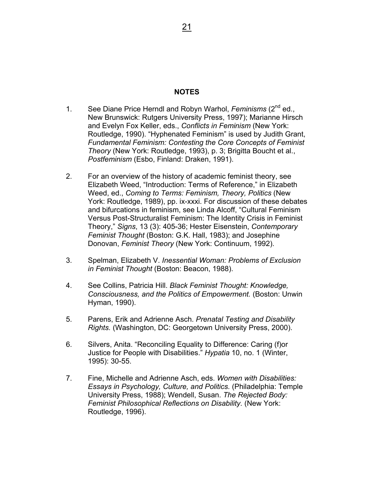## **NOTES**

- 1. See Diane Price Herndl and Robyn Warhol, *Feminisms* (2nd ed., New Brunswick: Rutgers University Press, 1997); Marianne Hirsch and Evelyn Fox Keller, eds., *Conflicts in Feminism* (New York: Routledge, 1990). "Hyphenated Feminism" is used by Judith Grant, *Fundamental Feminism: Contesting the Core Concepts of Feminist Theory* (New York: Routledge, 1993), p. 3; Brigitta Boucht et al., *Postfeminism* (Esbo, Finland: Draken, 1991).
- 2. For an overview of the history of academic feminist theory, see Elizabeth Weed, "Introduction: Terms of Reference," in Elizabeth Weed, ed., *Coming to Terms: Feminism, Theory, Politics* (New York: Routledge, 1989), pp. ix-xxxi. For discussion of these debates and bifurcations in feminism, see Linda Alcoff, "Cultural Feminism Versus Post-Structuralist Feminism: The Identity Crisis in Feminist Theory," *Signs*, 13 (3): 405-36; Hester Eisenstein, *Contemporary Feminist Thought* (Boston: G.K. Hall, 1983); and Josephine Donovan, *Feminist Theory* (New York: Continuum, 1992).
- 3. Spelman, Elizabeth V. *Inessential Woman: Problems of Exclusion in Feminist Thought* (Boston: Beacon, 1988).
- 4. See Collins, Patricia Hill. *Black Feminist Thought: Knowledge, Consciousness, and the Politics of Empowerment.* (Boston: Unwin Hyman, 1990).
- 5. Parens, Erik and Adrienne Asch. *Prenatal Testing and Disability Rights.* (Washington, DC: Georgetown University Press, 2000).
- 6. Silvers, Anita. "Reconciling Equality to Difference: Caring (f)or Justice for People with Disabilities." *Hypatia* 10, no. 1 (Winter, 1995): 30-55.
- 7. Fine, Michelle and Adrienne Asch, eds. *Women with Disabilities: Essays in Psychology, Culture, and Politics.* (Philadelphia: Temple University Press, 1988); Wendell, Susan. *The Rejected Body: Feminist Philosophical Reflections on Disability.* (New York: Routledge, 1996).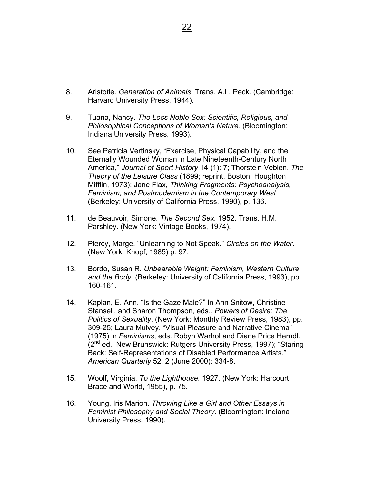- 8. Aristotle. *Generation of Animals*. Trans. A.L. Peck. (Cambridge: Harvard University Press, 1944).
- 9. Tuana, Nancy. *The Less Noble Sex: Scientific, Religious, and Philosophical Conceptions of Woman's Nature.* (Bloomington: Indiana University Press, 1993).
- 10. See Patricia Vertinsky, "Exercise, Physical Capability, and the Eternally Wounded Woman in Late Nineteenth-Century North America," *Journal of Sport History* 14 (1): 7; Thorstein Veblen, *The Theory of the Leisure Class* (1899; reprint, Boston: Houghton Mifflin, 1973); Jane Flax, *Thinking Fragments: Psychoanalysis, Feminism, and Postmodernism in the Contemporary West* (Berkeley: University of California Press, 1990), p. 136.
- 11. de Beauvoir, Simone. *The Second Sex.* 1952. Trans. H.M. Parshley. (New York: Vintage Books, 1974).
- 12. Piercy, Marge. "Unlearning to Not Speak." *Circles on the Water*. (New York: Knopf, 1985) p. 97.
- 13. Bordo, Susan R. *Unbearable Weight: Feminism, Western Culture, and the Body*. (Berkeley: University of California Press, 1993), pp. 160-161.
- 14. Kaplan, E. Ann. "Is the Gaze Male?" In Ann Snitow, Christine Stansell, and Sharon Thompson, eds., *Powers of Desire: The Politics of Sexuality*. (New York: Monthly Review Press, 1983), pp. 309-25; Laura Mulvey. "Visual Pleasure and Narrative Cinema" (1975) in *Feminisms*, eds. Robyn Warhol and Diane Price Herndl. (2<sup>nd</sup> ed., New Brunswick: Rutgers University Press, 1997); "Staring Back: Self-Representations of Disabled Performance Artists." *American Quarterly* 52, 2 (June 2000): 334-8.
- 15. Woolf, Virginia. *To the Lighthouse*. 1927. (New York: Harcourt Brace and World, 1955), p. 75.
- 16. Young, Iris Marion. *Throwing Like a Girl and Other Essays in Feminist Philosophy and Social Theory*. (Bloomington: Indiana University Press, 1990).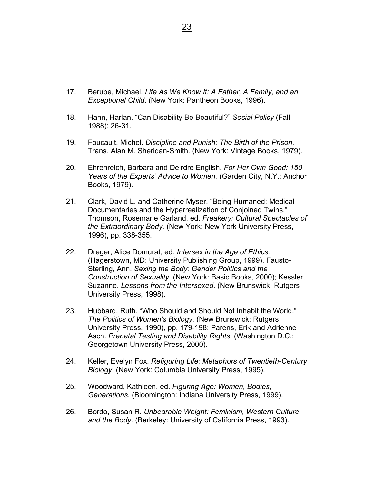- 17. Berube, Michael. *Life As We Know It: A Father, A Family, and an Exceptional Child*. (New York: Pantheon Books, 1996).
- 18. Hahn, Harlan. "Can Disability Be Beautiful?" *Social Policy* (Fall 1988): 26-31.
- 19. Foucault, Michel. *Discipline and Punish: The Birth of the Prison*. Trans. Alan M. Sheridan-Smith. (New York: Vintage Books, 1979).
- 20. Ehrenreich, Barbara and Deirdre English. *For Her Own Good: 150 Years of the Experts' Advice to Women.* (Garden City, N.Y.: Anchor Books, 1979).
- 21. Clark, David L. and Catherine Myser. "Being Humaned: Medical Documentaries and the Hyperrealization of Conjoined Twins." Thomson, Rosemarie Garland, ed. *Freakery: Cultural Spectacles of the Extraordinary Body.* (New York: New York University Press, 1996), pp. 338-355.
- 22. Dreger, Alice Domurat, ed. *Intersex in the Age of Ethics.* (Hagerstown, MD: University Publishing Group, 1999). Fausto-Sterling, Ann. *Sexing the Body: Gender Politics and the Construction of Sexuality.* (New York: Basic Books, 2000); Kessler, Suzanne. *Lessons from the Intersexed*. (New Brunswick: Rutgers University Press, 1998).
- 23. Hubbard, Ruth. "Who Should and Should Not Inhabit the World." *The Politics of Women's Biology.* (New Brunswick: Rutgers University Press, 1990), pp. 179-198; Parens, Erik and Adrienne Asch. *Prenatal Testing and Disability Rights*. (Washington D.C.: Georgetown University Press, 2000).
- 24. Keller, Evelyn Fox. *Refiguring Life: Metaphors of Twentieth-Century Biology*. (New York: Columbia University Press, 1995).
- 25. Woodward, Kathleen, ed. *Figuring Age: Women, Bodies, Generations.* (Bloomington: Indiana University Press, 1999).
- 26. Bordo, Susan R. *Unbearable Weight: Feminism, Western Culture, and the Body.* (Berkeley: University of California Press, 1993).